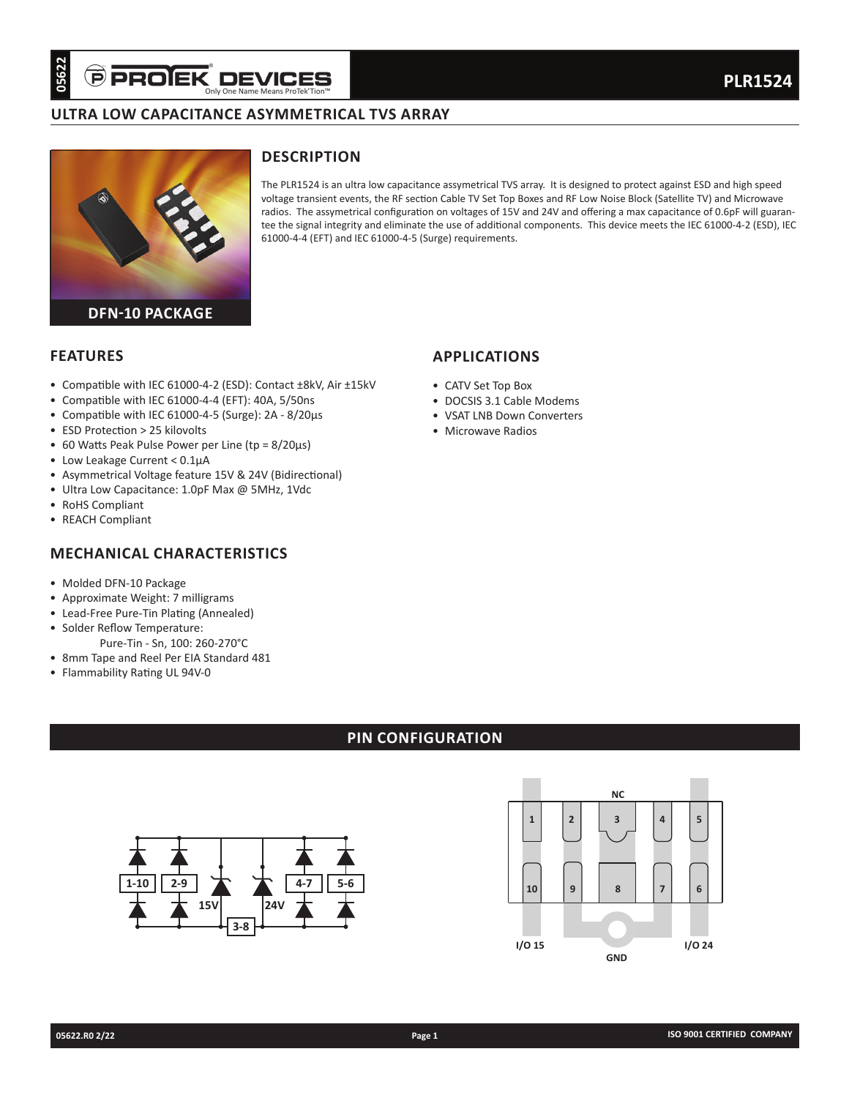# **Ultra low capacitance asymMetrical tvs array**



## **Description**

The PLR1524 is an ultra low capacitance assymetrical TVS array. It is designed to protect against ESD and high speed voltage transient events, the RF section Cable TV Set Top Boxes and RF Low Noise Block (Satellite TV) and Microwave radios. The assymetrical configuration on voltages of 15V and 24V and offering a max capacitance of 0.6pF will guarantee the signal integrity and eliminate the use of additional components. This device meets the IEC 61000-4-2 (ESD), IEC 61000-4-4 (EFT) and IEC 61000-4-5 (Surge) requirements.

**applications**

• CATV Set Top Box

• Microwave Radios

• DOCSIS 3.1 Cable Modems • VSAT LNB Down Converters

### **Features**

- Compatible with IEC 61000-4-2 (ESD): Contact ±8kV, Air ±15kV
- Compatible with IEC 61000-4-4 (EFT): 40A, 5/50ns
- Compatible with IEC 61000-4-5 (Surge): 2A 8/20µs
- ESD Protection > 25 kilovolts
- 60 Watts Peak Pulse Power per Line (tp = 8/20µs)
- Low Leakage Current < 0.1µA
- Asymmetrical Voltage feature 15V & 24V (Bidirectional)
- Ultra Low Capacitance: 1.0pF Max @ 5MHz, 1Vdc
- RoHS Compliant
- REACH Compliant

## **Mechanical characteristics**

- Molded DFN-10 Package
- Approximate Weight: 7 milligrams
- Lead-Free Pure-Tin Plating (Annealed)
- Solder Reflow Temperature:
- Pure-Tin Sn, 100: 260-270°C • 8mm Tape and Reel Per EIA Standard 481
- Flammability Rating UL 94V-0

## **pin configuration**



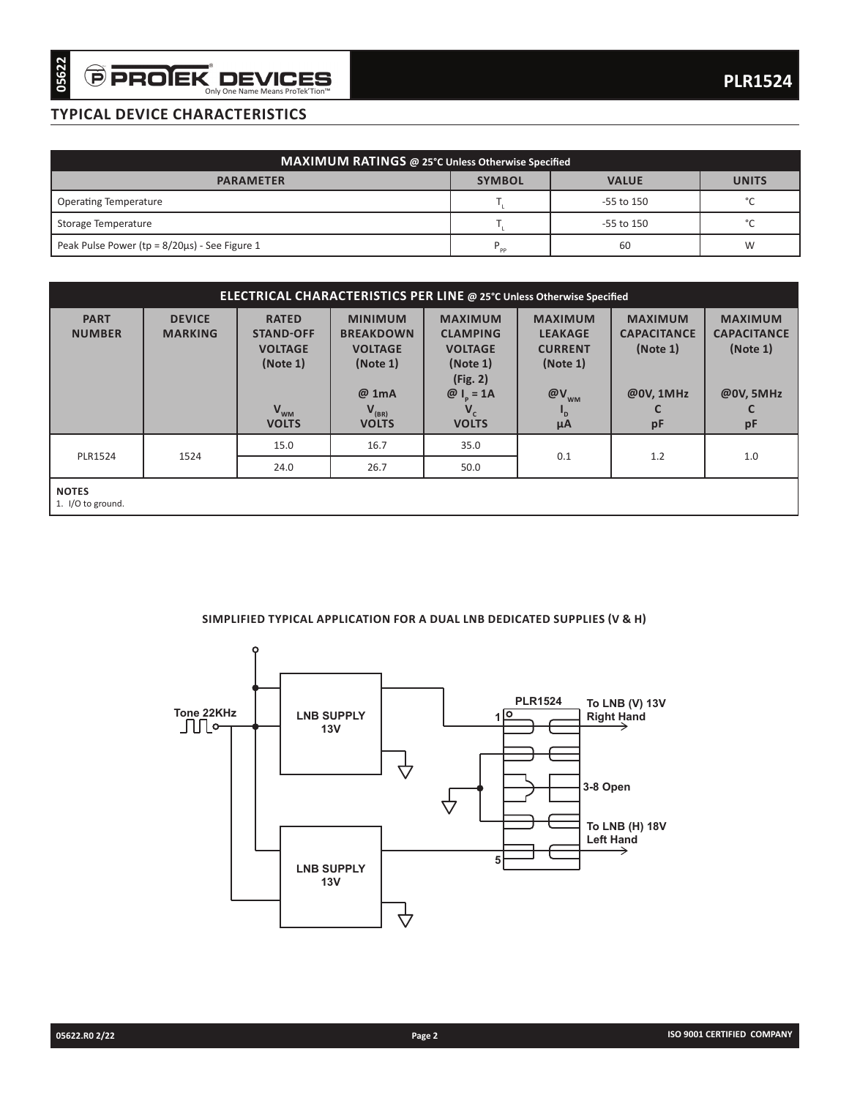## **typical device characteristics**

| MAXIMUM RATINGS @ 25°C Unless Otherwise Specified    |               |                |              |  |  |  |  |
|------------------------------------------------------|---------------|----------------|--------------|--|--|--|--|
| <b>PARAMETER</b>                                     | <b>SYMBOL</b> | <b>VALUE</b>   | <b>UNITS</b> |  |  |  |  |
| Operating Temperature                                |               | $-55$ to $150$ | $\sim$       |  |  |  |  |
| Storage Temperature                                  |               | $-55$ to $150$ | $\sim$       |  |  |  |  |
| Peak Pulse Power ( $tp = 8/20\mu s$ ) - See Figure 1 | <b>PP</b>     | 60             | W            |  |  |  |  |

| ELECTRICAL CHARACTERISTICS PER LINE @ 25°C Unless Otherwise Specified |                                                                                                                                                                                                                                                                                    |                          |                            |                                                                                |                                                               |                                                               |     |  |  |
|-----------------------------------------------------------------------|------------------------------------------------------------------------------------------------------------------------------------------------------------------------------------------------------------------------------------------------------------------------------------|--------------------------|----------------------------|--------------------------------------------------------------------------------|---------------------------------------------------------------|---------------------------------------------------------------|-----|--|--|
| <b>PART</b><br><b>NUMBER</b>                                          | <b>MINIMUM</b><br><b>MAXIMUM</b><br><b>DEVICE</b><br><b>RATED</b><br><b>MARKING</b><br><b>STAND-OFF</b><br><b>BREAKDOWN</b><br><b>CLAMPING</b><br><b>VOLTAGE</b><br><b>VOLTAGE</b><br><b>VOLTAGE</b><br>(Note 1)<br>(Note 1)<br>(Note 1)<br>(Fig. 2)<br>@ 1mA<br>$@I_{\circ} = 1A$ |                          |                            | <b>MAXIMUM</b><br><b>LEAKAGE</b><br><b>CURRENT</b><br>(Note 1)<br>$@V_{_{WM}}$ | <b>MAXIMUM</b><br><b>CAPACITANCE</b><br>(Note 1)<br>@0V, 1MHz | <b>MAXIMUM</b><br><b>CAPACITANCE</b><br>(Note 1)<br>@0V, 5MHz |     |  |  |
|                                                                       |                                                                                                                                                                                                                                                                                    | $V_{WM}$<br><b>VOLTS</b> | $V_{(BR)}$<br><b>VOLTS</b> | <b>VOLTS</b>                                                                   | μA                                                            | pF                                                            | pF  |  |  |
|                                                                       |                                                                                                                                                                                                                                                                                    | 15.0                     | 16.7                       | 35.0                                                                           | 0.1                                                           | 1.2                                                           | 1.0 |  |  |
| <b>PLR1524</b>                                                        | 1524                                                                                                                                                                                                                                                                               | 24.0                     | 26.7                       | 50.0                                                                           |                                                               |                                                               |     |  |  |
| <b>NOTES</b><br>1. I/O to ground.                                     |                                                                                                                                                                                                                                                                                    |                          |                            |                                                                                |                                                               |                                                               |     |  |  |

### **Simplified typical application for a dual lnb dedicated supplies (v & h)**

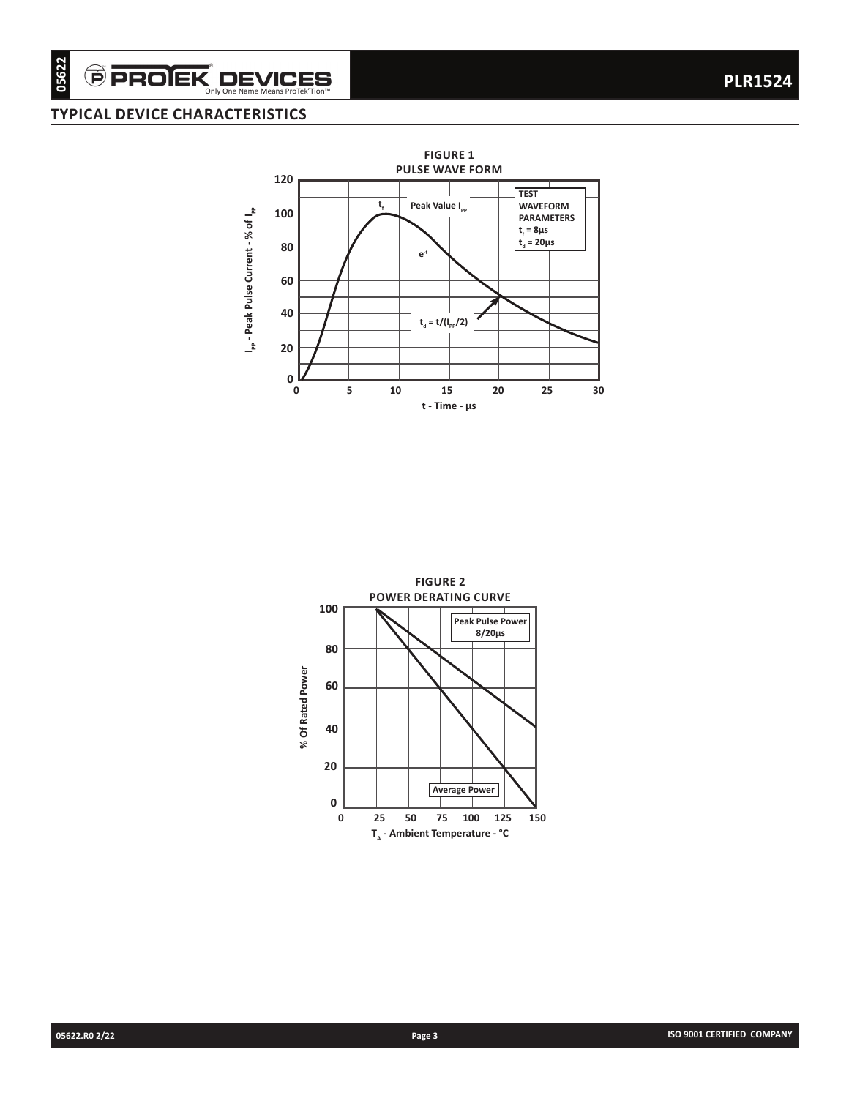## **typical device characteristics**



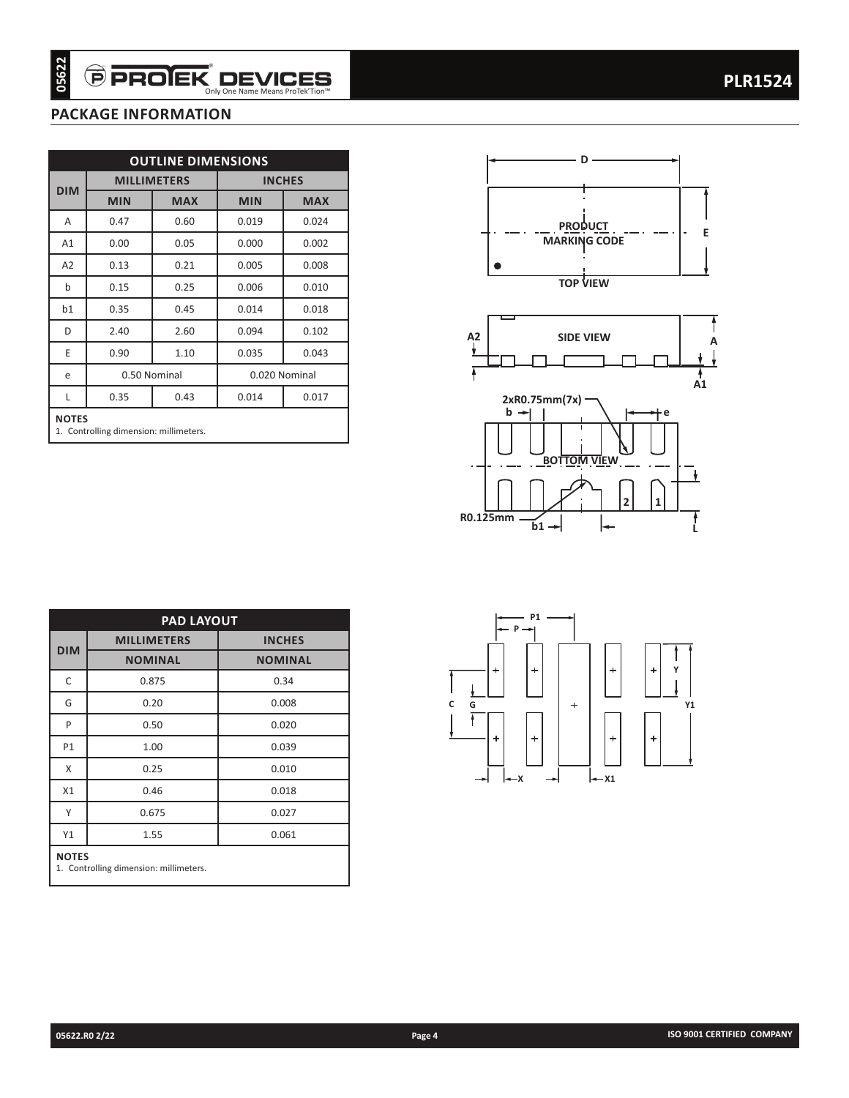## **package information**

| <b>MILLIMETERS</b><br><b>INCHES</b><br><b>DIM</b><br><b>MIN</b><br><b>MAX</b><br><b>MIN</b><br><b>MAX</b><br>0.47<br>0.024<br>Α<br>0.60<br>0.019<br>A1<br>0.05<br>0.00<br>0.000<br>0.002<br>A2<br>0.13<br>0.21<br>0.005<br>0.008<br>b<br>0.25<br>0.15<br>0.006<br>0.010<br>0.35<br>0.45<br>0.014<br>b1<br>0.018<br>D<br>2.40<br>2.60<br>0.094<br>0.102<br>1.10<br>Ε<br>0.90<br>0.035<br>0.043<br>0.50 Nominal<br>0.020 Nominal<br>e<br>0.35<br>0.43<br>0.014<br>0.017<br>Г<br><b>NOTES</b><br>1. Controlling dimension: millimeters. |  |  |  |  |  |
|--------------------------------------------------------------------------------------------------------------------------------------------------------------------------------------------------------------------------------------------------------------------------------------------------------------------------------------------------------------------------------------------------------------------------------------------------------------------------------------------------------------------------------------|--|--|--|--|--|
|                                                                                                                                                                                                                                                                                                                                                                                                                                                                                                                                      |  |  |  |  |  |
|                                                                                                                                                                                                                                                                                                                                                                                                                                                                                                                                      |  |  |  |  |  |
|                                                                                                                                                                                                                                                                                                                                                                                                                                                                                                                                      |  |  |  |  |  |
|                                                                                                                                                                                                                                                                                                                                                                                                                                                                                                                                      |  |  |  |  |  |
|                                                                                                                                                                                                                                                                                                                                                                                                                                                                                                                                      |  |  |  |  |  |
|                                                                                                                                                                                                                                                                                                                                                                                                                                                                                                                                      |  |  |  |  |  |
|                                                                                                                                                                                                                                                                                                                                                                                                                                                                                                                                      |  |  |  |  |  |
|                                                                                                                                                                                                                                                                                                                                                                                                                                                                                                                                      |  |  |  |  |  |
|                                                                                                                                                                                                                                                                                                                                                                                                                                                                                                                                      |  |  |  |  |  |
|                                                                                                                                                                                                                                                                                                                                                                                                                                                                                                                                      |  |  |  |  |  |
|                                                                                                                                                                                                                                                                                                                                                                                                                                                                                                                                      |  |  |  |  |  |
| <b>PAD LAYOUT</b>                                                                                                                                                                                                                                                                                                                                                                                                                                                                                                                    |  |  |  |  |  |
|                                                                                                                                                                                                                                                                                                                                                                                                                                                                                                                                      |  |  |  |  |  |
| <b>MILLIMETERS</b><br><b>INCHES</b><br><b>DIM</b>                                                                                                                                                                                                                                                                                                                                                                                                                                                                                    |  |  |  |  |  |
| <b>NOMINAL</b><br><b>NOMINAL</b>                                                                                                                                                                                                                                                                                                                                                                                                                                                                                                     |  |  |  |  |  |
| 0.875<br>0.34                                                                                                                                                                                                                                                                                                                                                                                                                                                                                                                        |  |  |  |  |  |
| 0.20<br>0.008                                                                                                                                                                                                                                                                                                                                                                                                                                                                                                                        |  |  |  |  |  |
| 0.50<br>0.020                                                                                                                                                                                                                                                                                                                                                                                                                                                                                                                        |  |  |  |  |  |
| 1.00<br>0.039                                                                                                                                                                                                                                                                                                                                                                                                                                                                                                                        |  |  |  |  |  |
| $\mathsf{C}$<br>G<br>P<br>P1<br>0.25<br>0.010<br>X                                                                                                                                                                                                                                                                                                                                                                                                                                                                                   |  |  |  |  |  |
| 0.46<br>X1<br>0.018<br>Υ                                                                                                                                                                                                                                                                                                                                                                                                                                                                                                             |  |  |  |  |  |
| 0.675<br>0.027<br>1.55<br>Υ1<br>0.061                                                                                                                                                                                                                                                                                                                                                                                                                                                                                                |  |  |  |  |  |





| <b>PAD LAYOUT</b>                                      |                    |                |  |  |  |  |  |
|--------------------------------------------------------|--------------------|----------------|--|--|--|--|--|
| <b>DIM</b>                                             | <b>MILLIMETERS</b> | <b>INCHES</b>  |  |  |  |  |  |
|                                                        | <b>NOMINAL</b>     | <b>NOMINAL</b> |  |  |  |  |  |
| C                                                      | 0.875              | 0.34           |  |  |  |  |  |
| G                                                      | 0.20               | 0.008          |  |  |  |  |  |
| P                                                      | 0.50               | 0.020          |  |  |  |  |  |
| P1                                                     | 1.00               | 0.039          |  |  |  |  |  |
| X                                                      | 0.25               | 0.010          |  |  |  |  |  |
| X1                                                     | 0.46               | 0.018          |  |  |  |  |  |
| Υ                                                      | 0.675              | 0.027          |  |  |  |  |  |
| Y1                                                     | 1.55               | 0.061          |  |  |  |  |  |
| <b>NOTES</b><br>1. Controlling dimension: millimeters. |                    |                |  |  |  |  |  |

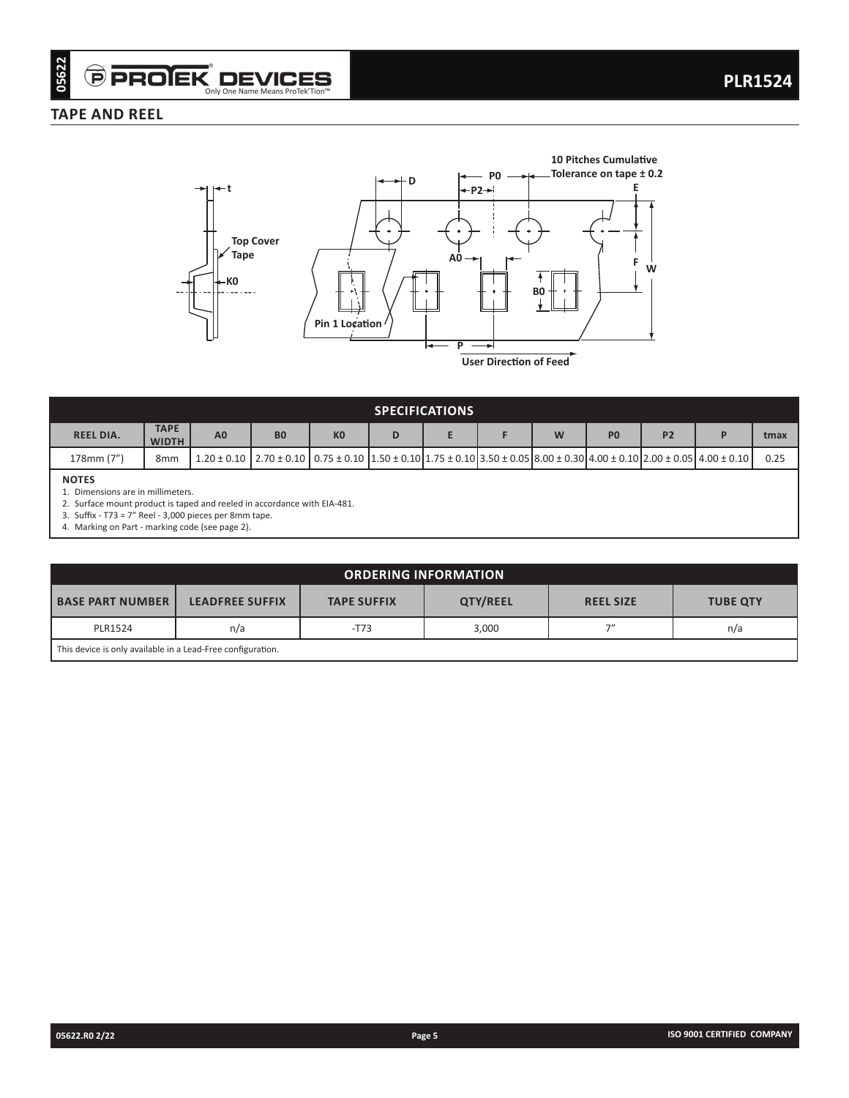## **TAPE AND REEL**



| <b>SPECIFICATIONS</b>                          |                             |                |                                                                                                                                                                                   |                |   |  |  |  |                |                |      |
|------------------------------------------------|-----------------------------|----------------|-----------------------------------------------------------------------------------------------------------------------------------------------------------------------------------|----------------|---|--|--|--|----------------|----------------|------|
| <b>REEL DIA.</b>                               | <b>TAPE</b><br><b>WIDTH</b> | A <sub>0</sub> | <b>B0</b>                                                                                                                                                                         | K <sub>0</sub> | D |  |  |  | P <sub>0</sub> | P <sub>2</sub> | tmax |
| 178mm (7")                                     | 8mm                         |                | $1.20 \pm 0.10$   $2.70 \pm 0.10$   $0.75 \pm 0.10$   $1.50 \pm 0.10$   $1.75 \pm 0.10$   $3.50 \pm 0.05$   $8.00 \pm 0.30$   $4.00 \pm 0.10$   $2.00 \pm 0.05$   $4.00 \pm 0.10$ |                |   |  |  |  |                |                | 0.25 |
| <b>NOTES</b><br>Dimensions are in millimeters. |                             |                |                                                                                                                                                                                   |                |   |  |  |  |                |                |      |

2. Surface mount product is taped and reeled in accordance with EIA-481.

3. Suffix - T73 = 7" Reel - 3,000 pieces per 8mm tape.

4. Marking on Part - marking code (see page 2).

| <b>ORDERING INFORMATION</b>                                 |                        |                  |                 |    |     |  |  |
|-------------------------------------------------------------|------------------------|------------------|-----------------|----|-----|--|--|
| <b>BASE PART NUMBER</b>                                     | <b>LEADFREE SUFFIX</b> | <b>REEL SIZE</b> | <b>TUBE QTY</b> |    |     |  |  |
| <b>PLR1524</b>                                              | n/a                    | $-T73$           | 3,000           | フリ | n/a |  |  |
| This device is only available in a Lead-Free configuration. |                        |                  |                 |    |     |  |  |